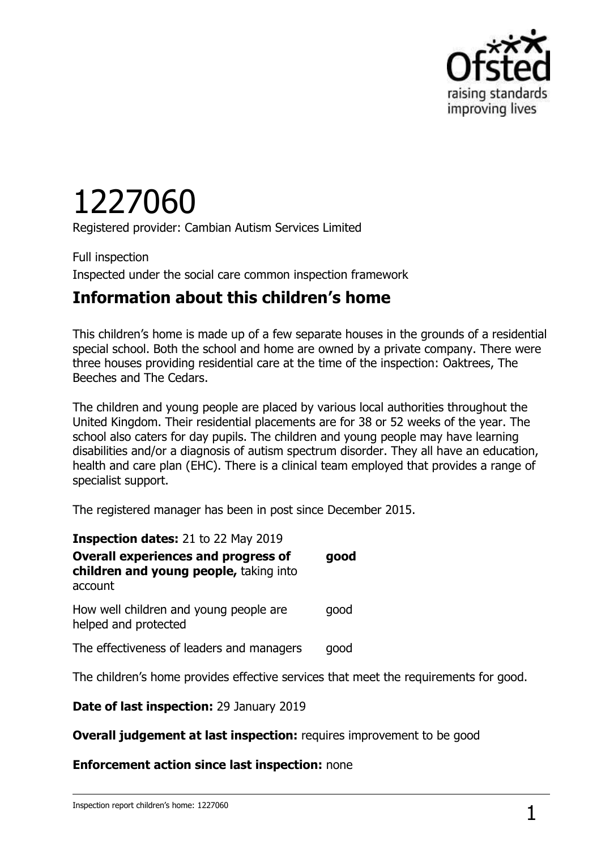

# 1227060

Registered provider: Cambian Autism Services Limited

Full inspection Inspected under the social care common inspection framework

## **Information about this children's home**

This children's home is made up of a few separate houses in the grounds of a residential special school. Both the school and home are owned by a private company. There were three houses providing residential care at the time of the inspection: Oaktrees, The Beeches and The Cedars.

The children and young people are placed by various local authorities throughout the United Kingdom. Their residential placements are for 38 or 52 weeks of the year. The school also caters for day pupils. The children and young people may have learning disabilities and/or a diagnosis of autism spectrum disorder. They all have an education, health and care plan (EHC). There is a clinical team employed that provides a range of specialist support.

The registered manager has been in post since December 2015.

| <b>Inspection dates: 21 to 22 May 2019</b><br><b>Overall experiences and progress of</b><br>children and young people, taking into<br>account | good |
|-----------------------------------------------------------------------------------------------------------------------------------------------|------|
| How well children and young people are<br>helped and protected                                                                                | qood |
| The effectiveness of leaders and managers                                                                                                     | qood |
|                                                                                                                                               |      |

The children's home provides effective services that meet the requirements for good.

**Date of last inspection:** 29 January 2019

**Overall judgement at last inspection:** requires improvement to be good

#### **Enforcement action since last inspection:** none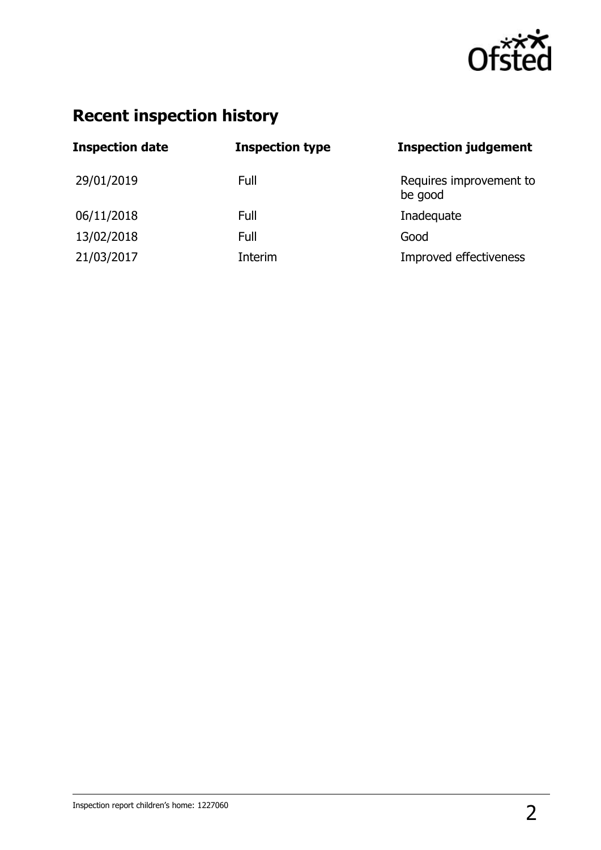

## **Recent inspection history**

| <b>Inspection date</b> | <b>Inspection type</b> | <b>Inspection judgement</b>        |
|------------------------|------------------------|------------------------------------|
| 29/01/2019             | Full                   | Requires improvement to<br>be good |
| 06/11/2018             | Full                   | Inadequate                         |
| 13/02/2018             | Full                   | Good                               |
| 21/03/2017             | Interim                | Improved effectiveness             |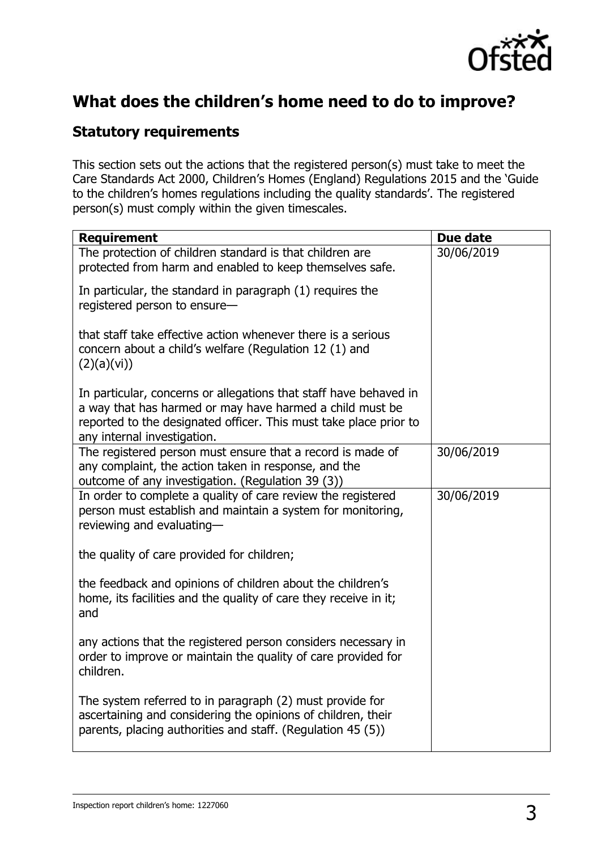

## **What does the children's home need to do to improve?**

### **Statutory requirements**

This section sets out the actions that the registered person(s) must take to meet the Care Standards Act 2000, Children's Homes (England) Regulations 2015 and the 'Guide to the children's homes regulations including the quality standards'. The registered person(s) must comply within the given timescales.

| <b>Requirement</b>                                                                                                                                                                                                                | Due date   |
|-----------------------------------------------------------------------------------------------------------------------------------------------------------------------------------------------------------------------------------|------------|
| The protection of children standard is that children are<br>protected from harm and enabled to keep themselves safe.                                                                                                              | 30/06/2019 |
| In particular, the standard in paragraph (1) requires the<br>registered person to ensure-                                                                                                                                         |            |
| that staff take effective action whenever there is a serious<br>concern about a child's welfare (Regulation 12 (1) and<br>(2)(a)(vi))                                                                                             |            |
| In particular, concerns or allegations that staff have behaved in<br>a way that has harmed or may have harmed a child must be<br>reported to the designated officer. This must take place prior to<br>any internal investigation. |            |
| The registered person must ensure that a record is made of<br>any complaint, the action taken in response, and the<br>outcome of any investigation. (Regulation 39 (3))                                                           | 30/06/2019 |
| In order to complete a quality of care review the registered<br>person must establish and maintain a system for monitoring,<br>reviewing and evaluating-                                                                          | 30/06/2019 |
| the quality of care provided for children;                                                                                                                                                                                        |            |
| the feedback and opinions of children about the children's<br>home, its facilities and the quality of care they receive in it;<br>and                                                                                             |            |
| any actions that the registered person considers necessary in<br>order to improve or maintain the quality of care provided for<br>children.                                                                                       |            |
| The system referred to in paragraph (2) must provide for<br>ascertaining and considering the opinions of children, their<br>parents, placing authorities and staff. (Regulation 45 (5))                                           |            |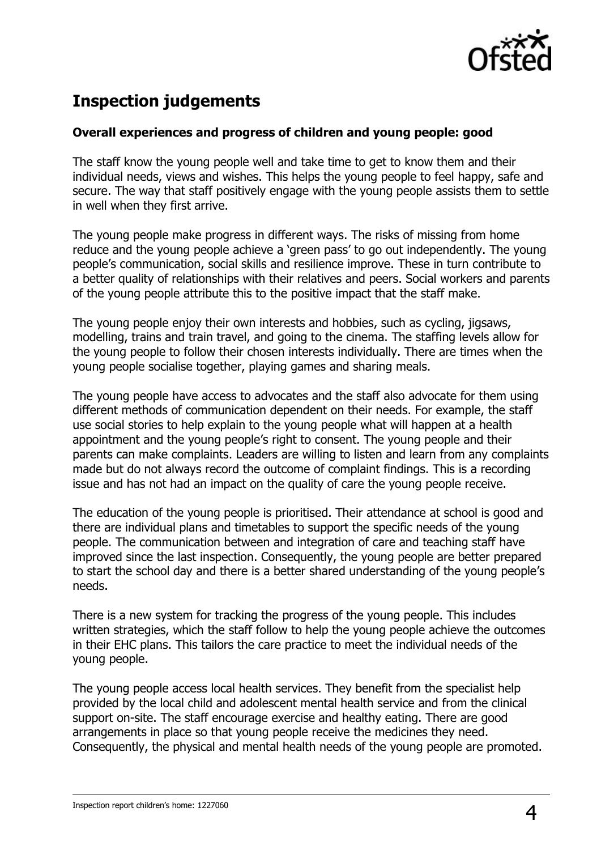

## **Inspection judgements**

#### **Overall experiences and progress of children and young people: good**

The staff know the young people well and take time to get to know them and their individual needs, views and wishes. This helps the young people to feel happy, safe and secure. The way that staff positively engage with the young people assists them to settle in well when they first arrive.

The young people make progress in different ways. The risks of missing from home reduce and the young people achieve a 'green pass' to go out independently. The young people's communication, social skills and resilience improve. These in turn contribute to a better quality of relationships with their relatives and peers. Social workers and parents of the young people attribute this to the positive impact that the staff make.

The young people enjoy their own interests and hobbies, such as cycling, jigsaws, modelling, trains and train travel, and going to the cinema. The staffing levels allow for the young people to follow their chosen interests individually. There are times when the young people socialise together, playing games and sharing meals.

The young people have access to advocates and the staff also advocate for them using different methods of communication dependent on their needs. For example, the staff use social stories to help explain to the young people what will happen at a health appointment and the young people's right to consent. The young people and their parents can make complaints. Leaders are willing to listen and learn from any complaints made but do not always record the outcome of complaint findings. This is a recording issue and has not had an impact on the quality of care the young people receive.

The education of the young people is prioritised. Their attendance at school is good and there are individual plans and timetables to support the specific needs of the young people. The communication between and integration of care and teaching staff have improved since the last inspection. Consequently, the young people are better prepared to start the school day and there is a better shared understanding of the young people's needs.

There is a new system for tracking the progress of the young people. This includes written strategies, which the staff follow to help the young people achieve the outcomes in their EHC plans. This tailors the care practice to meet the individual needs of the young people.

The young people access local health services. They benefit from the specialist help provided by the local child and adolescent mental health service and from the clinical support on-site. The staff encourage exercise and healthy eating. There are good arrangements in place so that young people receive the medicines they need. Consequently, the physical and mental health needs of the young people are promoted.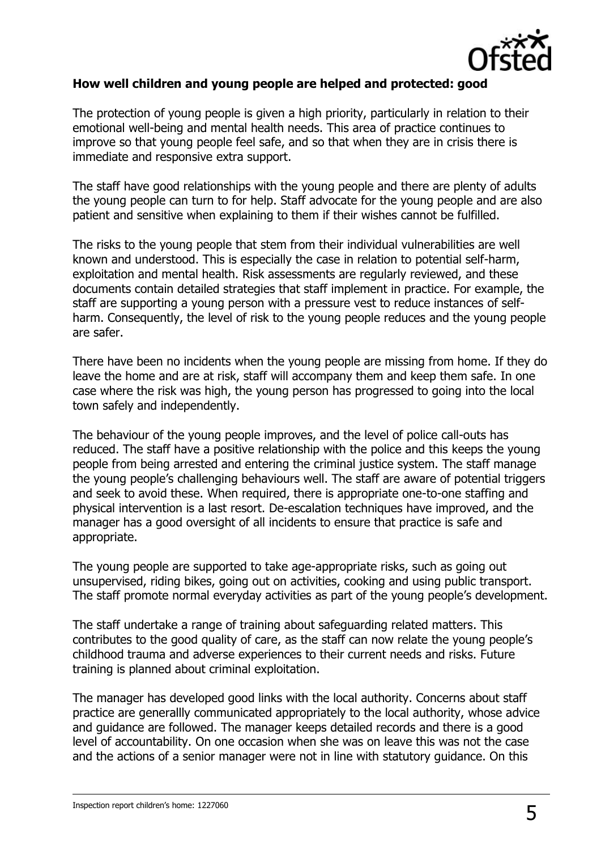

#### **How well children and young people are helped and protected: good**

The protection of young people is given a high priority, particularly in relation to their emotional well-being and mental health needs. This area of practice continues to improve so that young people feel safe, and so that when they are in crisis there is immediate and responsive extra support.

The staff have good relationships with the young people and there are plenty of adults the young people can turn to for help. Staff advocate for the young people and are also patient and sensitive when explaining to them if their wishes cannot be fulfilled.

The risks to the young people that stem from their individual vulnerabilities are well known and understood. This is especially the case in relation to potential self-harm, exploitation and mental health. Risk assessments are regularly reviewed, and these documents contain detailed strategies that staff implement in practice. For example, the staff are supporting a young person with a pressure vest to reduce instances of selfharm. Consequently, the level of risk to the young people reduces and the young people are safer.

There have been no incidents when the young people are missing from home. If they do leave the home and are at risk, staff will accompany them and keep them safe. In one case where the risk was high, the young person has progressed to going into the local town safely and independently.

The behaviour of the young people improves, and the level of police call-outs has reduced. The staff have a positive relationship with the police and this keeps the young people from being arrested and entering the criminal justice system. The staff manage the young people's challenging behaviours well. The staff are aware of potential triggers and seek to avoid these. When required, there is appropriate one-to-one staffing and physical intervention is a last resort. De-escalation techniques have improved, and the manager has a good oversight of all incidents to ensure that practice is safe and appropriate.

The young people are supported to take age-appropriate risks, such as going out unsupervised, riding bikes, going out on activities, cooking and using public transport. The staff promote normal everyday activities as part of the young people's development.

The staff undertake a range of training about safeguarding related matters. This contributes to the good quality of care, as the staff can now relate the young people's childhood trauma and adverse experiences to their current needs and risks. Future training is planned about criminal exploitation.

The manager has developed good links with the local authority. Concerns about staff practice are generallly communicated appropriately to the local authority, whose advice and guidance are followed. The manager keeps detailed records and there is a good level of accountability. On one occasion when she was on leave this was not the case and the actions of a senior manager were not in line with statutory guidance. On this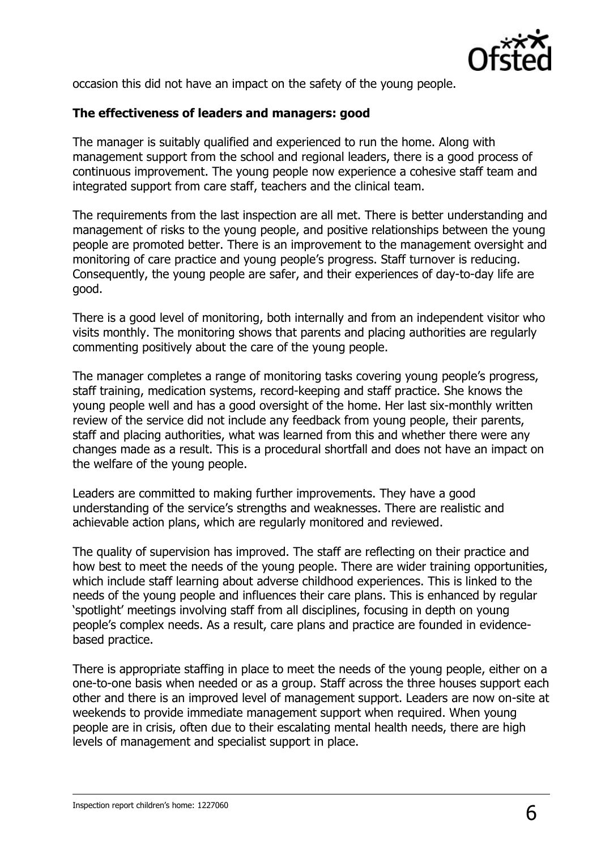

occasion this did not have an impact on the safety of the young people.

#### **The effectiveness of leaders and managers: good**

The manager is suitably qualified and experienced to run the home. Along with management support from the school and regional leaders, there is a good process of continuous improvement. The young people now experience a cohesive staff team and integrated support from care staff, teachers and the clinical team.

The requirements from the last inspection are all met. There is better understanding and management of risks to the young people, and positive relationships between the young people are promoted better. There is an improvement to the management oversight and monitoring of care practice and young people's progress. Staff turnover is reducing. Consequently, the young people are safer, and their experiences of day-to-day life are good.

There is a good level of monitoring, both internally and from an independent visitor who visits monthly. The monitoring shows that parents and placing authorities are regularly commenting positively about the care of the young people.

The manager completes a range of monitoring tasks covering young people's progress, staff training, medication systems, record-keeping and staff practice. She knows the young people well and has a good oversight of the home. Her last six-monthly written review of the service did not include any feedback from young people, their parents, staff and placing authorities, what was learned from this and whether there were any changes made as a result. This is a procedural shortfall and does not have an impact on the welfare of the young people.

Leaders are committed to making further improvements. They have a good understanding of the service's strengths and weaknesses. There are realistic and achievable action plans, which are regularly monitored and reviewed.

The quality of supervision has improved. The staff are reflecting on their practice and how best to meet the needs of the young people. There are wider training opportunities, which include staff learning about adverse childhood experiences. This is linked to the needs of the young people and influences their care plans. This is enhanced by regular 'spotlight' meetings involving staff from all disciplines, focusing in depth on young people's complex needs. As a result, care plans and practice are founded in evidencebased practice.

There is appropriate staffing in place to meet the needs of the young people, either on a one-to-one basis when needed or as a group. Staff across the three houses support each other and there is an improved level of management support. Leaders are now on-site at weekends to provide immediate management support when required. When young people are in crisis, often due to their escalating mental health needs, there are high levels of management and specialist support in place.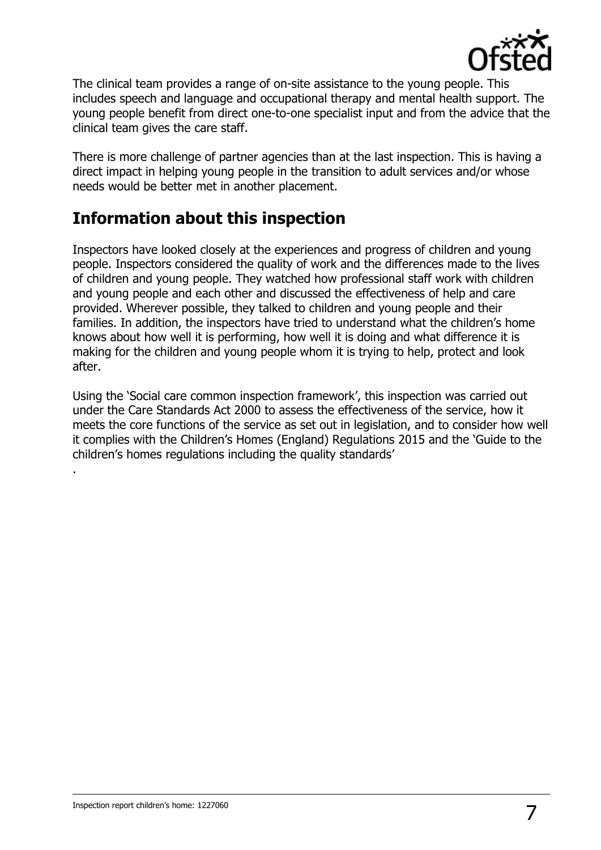

The clinical team provides a range of on-site assistance to the young people. This includes speech and language and occupational therapy and mental health support. The young people benefit from direct one-to-one specialist input and from the advice that the clinical team gives the care staff.

There is more challenge of partner agencies than at the last inspection. This is having a direct impact in helping young people in the transition to adult services and/or whose needs would be better met in another placement.

## **Information about this inspection**

Inspectors have looked closely at the experiences and progress of children and young people. Inspectors considered the quality of work and the differences made to the lives of children and young people. They watched how professional staff work with children and young people and each other and discussed the effectiveness of help and care provided. Wherever possible, they talked to children and young people and their families. In addition, the inspectors have tried to understand what the children's home knows about how well it is performing, how well it is doing and what difference it is making for the children and young people whom it is trying to help, protect and look after.

Using the 'Social care common inspection framework', this inspection was carried out under the Care Standards Act 2000 to assess the effectiveness of the service, how it meets the core functions of the service as set out in legislation, and to consider how well it complies with the Children's Homes (England) Regulations 2015 and the 'Guide to the children's homes regulations including the quality standards'

.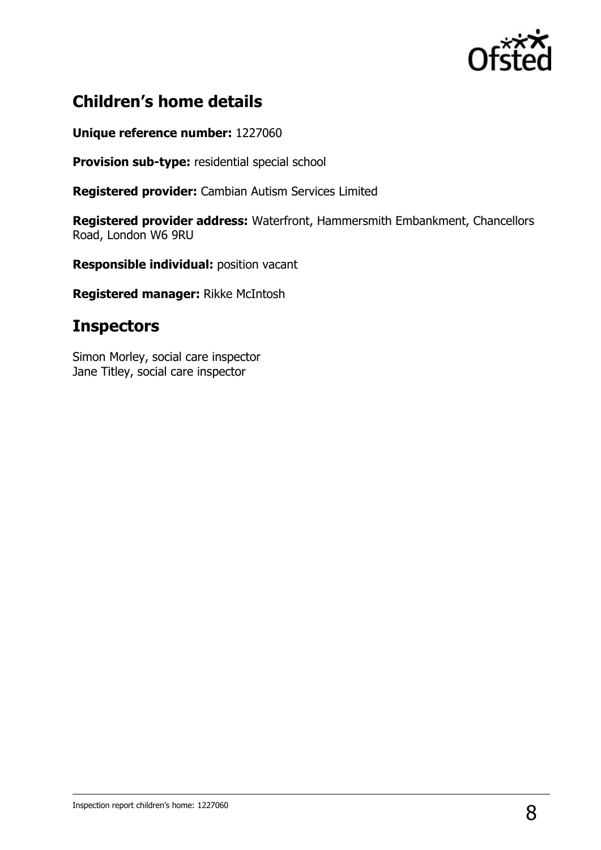

## **Children's home details**

#### **Unique reference number:** 1227060

**Provision sub-type:** residential special school

**Registered provider:** Cambian Autism Services Limited

**Registered provider address:** Waterfront, Hammersmith Embankment, Chancellors Road, London W6 9RU

**Responsible individual:** position vacant

**Registered manager:** Rikke McIntosh

## **Inspectors**

Simon Morley, social care inspector Jane Titley, social care inspector